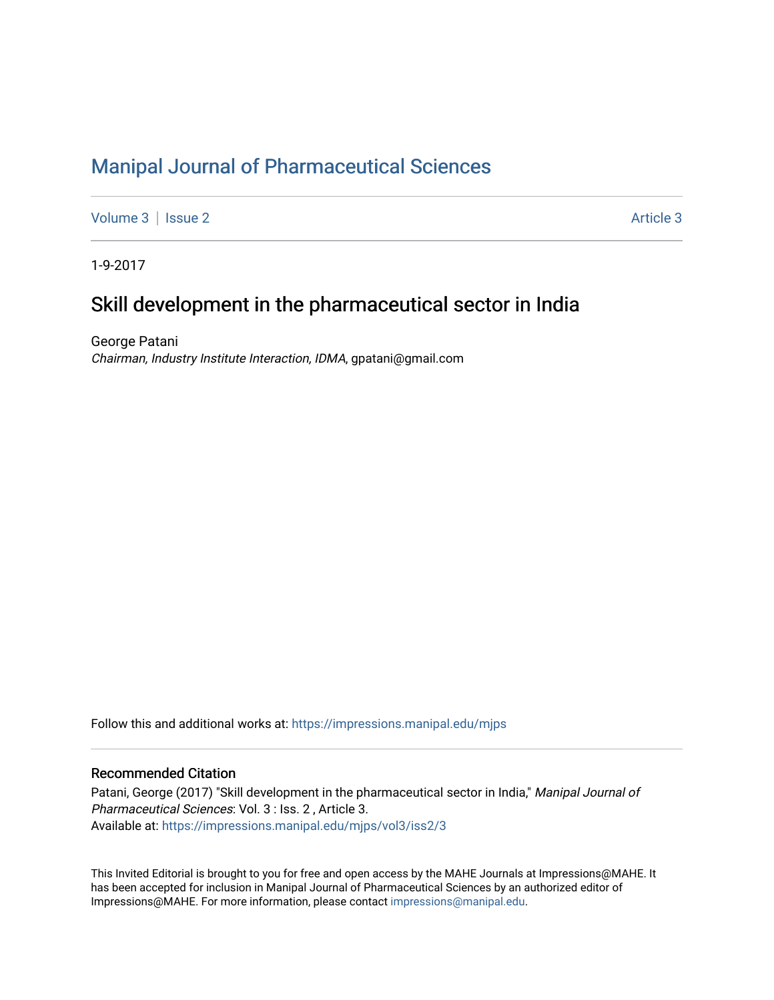# [Manipal Journal of Pharmaceutical Sciences](https://impressions.manipal.edu/mjps)

[Volume 3](https://impressions.manipal.edu/mjps/vol3) | [Issue 2](https://impressions.manipal.edu/mjps/vol3/iss2) Article 3

1-9-2017

## Skill development in the pharmaceutical sector in India

George Patani Chairman, Industry Institute Interaction, IDMA, gpatani@gmail.com

Follow this and additional works at: [https://impressions.manipal.edu/mjps](https://impressions.manipal.edu/mjps?utm_source=impressions.manipal.edu%2Fmjps%2Fvol3%2Fiss2%2F3&utm_medium=PDF&utm_campaign=PDFCoverPages)

## Recommended Citation

Patani, George (2017) "Skill development in the pharmaceutical sector in India," Manipal Journal of Pharmaceutical Sciences: Vol. 3 : Iss. 2 , Article 3. Available at: [https://impressions.manipal.edu/mjps/vol3/iss2/3](https://impressions.manipal.edu/mjps/vol3/iss2/3?utm_source=impressions.manipal.edu%2Fmjps%2Fvol3%2Fiss2%2F3&utm_medium=PDF&utm_campaign=PDFCoverPages)

This Invited Editorial is brought to you for free and open access by the MAHE Journals at Impressions@MAHE. It has been accepted for inclusion in Manipal Journal of Pharmaceutical Sciences by an authorized editor of Impressions@MAHE. For more information, please contact [impressions@manipal.edu](mailto:impressions@manipal.edu).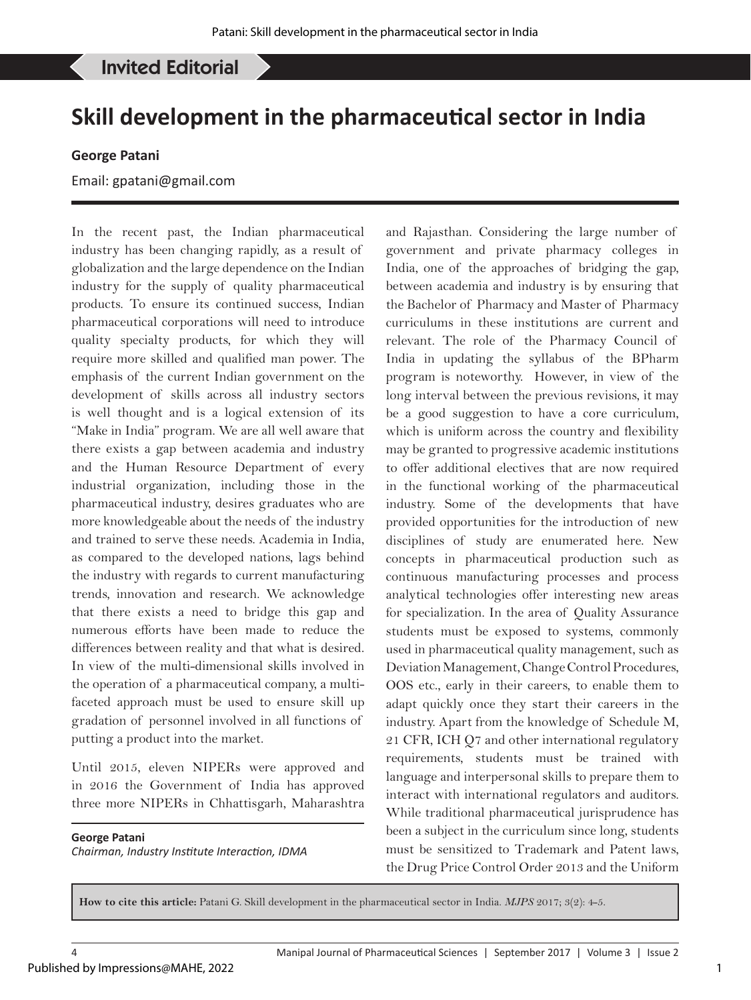### Patani G: Skill development in the pharmaceutical sector in India Invited Editorial

# **Skill development in the pharmaceutical sector in India**

### **George Patani**

### Email: gpatani@gmail.com

In the recent past, the Indian pharmaceutical industry has been changing rapidly, as a result of globalization and the large dependence on the Indian industry for the supply of quality pharmaceutical products. To ensure its continued success, Indian pharmaceutical corporations will need to introduce quality specialty products, for which they will require more skilled and qualified man power. The emphasis of the current Indian government on the development of skills across all industry sectors is well thought and is a logical extension of its "Make in India" program. We are all well aware that there exists a gap between academia and industry and the Human Resource Department of every industrial organization, including those in the pharmaceutical industry, desires graduates who are more knowledgeable about the needs of the industry and trained to serve these needs. Academia in India, as compared to the developed nations, lags behind the industry with regards to current manufacturing trends, innovation and research. We acknowledge that there exists a need to bridge this gap and numerous efforts have been made to reduce the differences between reality and that what is desired. In view of the multi-dimensional skills involved in the operation of a pharmaceutical company, a multifaceted approach must be used to ensure skill up gradation of personnel involved in all functions of putting a product into the market.

Until 2015, eleven NIPERs were approved and in 2016 the Government of India has approved three more NIPERs in Chhattisgarh, Maharashtra

#### **George Patani**

Published by Impressions@MAHE, 2022

*Chairman, Industry Institute Interaction, IDMA*

and Rajasthan. Considering the large number of government and private pharmacy colleges in India, one of the approaches of bridging the gap, between academia and industry is by ensuring that the Bachelor of Pharmacy and Master of Pharmacy curriculums in these institutions are current and relevant. The role of the Pharmacy Council of India in updating the syllabus of the BPharm program is noteworthy. However, in view of the long interval between the previous revisions, it may be a good suggestion to have a core curriculum, which is uniform across the country and flexibility may be granted to progressive academic institutions to offer additional electives that are now required in the functional working of the pharmaceutical industry. Some of the developments that have provided opportunities for the introduction of new disciplines of study are enumerated here. New concepts in pharmaceutical production such as continuous manufacturing processes and process analytical technologies offer interesting new areas for specialization. In the area of Quality Assurance students must be exposed to systems, commonly used in pharmaceutical quality management, such as Deviation Management, Change Control Procedures, OOS etc., early in their careers, to enable them to adapt quickly once they start their careers in the industry. Apart from the knowledge of Schedule M, 21 CFR, ICH Q7 and other international regulatory requirements, students must be trained with language and interpersonal skills to prepare them to interact with international regulators and auditors. While traditional pharmaceutical jurisprudence has been a subject in the curriculum since long, students must be sensitized to Trademark and Patent laws, the Drug Price Control Order 2013 and the Uniform

**How to cite this article:** Patani G. Skill development in the pharmaceutical sector in India. *MJPS* 2017; 3(2): 4-5.